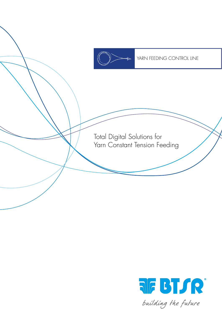

YARN FEEDING CONTROL LINE

Total Digital Solutions for Yarn Constant Tension Feeding

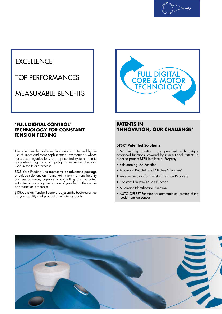

# **EXCELLENCE**

TOP PERFORMANCES

MEASURABLE BENEFITS

#### **'FULL DIGITAL CONTROL' TECHNOLOGY FOR CONSTANT TENSION FEEDING**

The recent textile market evolution is characterized by the use of more and more sophisticated row materials whose costs push organizations to adopt control systems able to guarantee a high product quality by minimizing the yarn used in the textile process.

BTSR Yarn Feeding Line represents an advanced package of unique solutions on the market, in terms of functionality and performance, capable of controlling and adjusting with utmost accuracy the tension of yarn fed in the course of production processes.

BTSR Constant Tension Feeders represent the best guarantee for your quality and production efficiency goals.



#### **PATENTS IN 'INNOVATION, OUR CHALLENGE'**

#### **BTSR® Patented Solutions**

BTSR Feeding Solutions are provided with unique advanced functions, covered by international Patents in order to protect BTSR Intellectual Property:

- Self-learning LFA Function
- Automatic Regulation of Stitches "Cammes"
- Reverse Function for Constant Tension Recovery
- Constant LFA Pre-Tension Function
- Automatic Identification Function
- AUTO OFFSET Function for automatic calibration of the feeder tension sensor

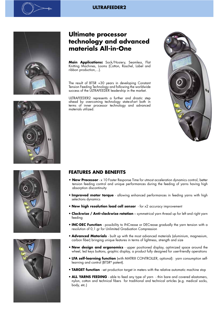#### **ULTRAFEEDER2**



## **Ultimate processor technology and advanced materials All-in-One**

**Main Applications:** Sock/Hosiery, Seamless, Flat Knitting Machines, Looms (Cotton, Raschel, Label and ribbon production,...).

The result of BTSR +30 years in developing Constant Tension Feeding Technology and following the worldwide success of the ULTRAFEEDER leadership in the market.

ULTRAFEEDER2 represents a further and drastic step ahead by overcoming technology state-of-art both in terms of inner processor technology and advanced materials utilized.









#### **FEATURES AND BENEFITS**

- **New Processor** x 10 Faster Response Time for utmost acceleration dynamics control, better tension feeding control and unique performances during the feeding of yarns having high absorption discontinuity
- **Improved motor torque** allowing enhanced performances in feeding yarns with high selections dynamics
- **New high resolution load cell sensor** for x2 accuracy improvement
- **Clockwise / Anti-clockwise rotation** symmetrical yarn thread up for left and right yarn feeding
- **INC-DEC Function** possibility to INCrease or DECrease gradually the yarn tension with a resolution of 0,1 gr for Unlimited Graduation Compression
- **Advanced Materials** built up with the most advanced materials (aluminium, magnesium, carbon fiber) bringing unique features in terms of lightness, strength and size
- **New design and ergonomics** upper positioned display, optimized space around the wheel, led keys buttons, graphic display, a product fully designed for user-friendly operations
- **LFA self-learning function** (with MATRIX CONTROLLER, optional): yarn consumption selflearning and control (BTSR® patent).
- **TARGET function** set production target in meters with the relative automatic machine stop
- **ALL YARNS FEEDING** able to feed any type of yarn thin bare and covered elastomers, nylon, cotton and technical fibers for traditional and technical articles (e.g. medical socks, body, etc.)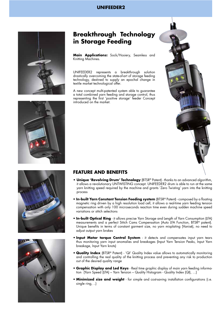#### **UNIFEEDER2**

![](_page_3_Picture_1.jpeg)

## **Breakthrough Technology in Storage Feeding**

**Main Applications:** Sock/Hosiery, Seamless and Knitting Machines.

UNIFEEDER2 represents a breakthrough solution drastically overcoming the state-of-art of storage feeding technology, destined to supply an epochal change in textile market technological offer.

A new concept multi-patented system able to guarantee a total combined yarn feeding and storage control, thus representing the first 'positive storage' feeder Concept introduced on the market.

![](_page_3_Picture_6.jpeg)

![](_page_3_Picture_8.jpeg)

![](_page_3_Picture_9.jpeg)

### **FEATURE AND BENEFITS**

- **Unique 'Revolving Drum' Technology** (BTSR® Patent) thanks to an advanced algorithm, it allows a revolutionary UNTWISTING concept. UNIFEEDER2 drum is able to run at the same yarn knitting speed required by the machine and grants 'Zero Twisting' yarn into the knitting process
- **In-built Yarn Constant Tension Feeding system** (BTSR® Patent) composed by a floating magnetic ring driven by a high resolution load cell, it allows a real-time yarn feeding tension compensation with only 100 microseconds reaction time even during sudden machine speed variations or stitch selections
- **In-built Optical Ring** it allows precise Yarn Storage and Length of Yarn Consumption (LFA) measurements and a perfect Stitch Cams Compensation (Auto LFA Function, BTSR® patent). Unique benefits in terms of constant garment size, no yarn misplating (Vanisè), no need to adjust output yarn brakes
- **Input Motor torque Control System** it detects and compensates input yarn tears thus monitoring yarn input anomalies and breakages (Input Yarn Tension Peaks, Input Yarn breakage, Input Yarn knots)
- **Quality Index** (BTSR® Patent) 'QI' Quality Index value allows to automatically monitoring and controlling the real quality of the knitting process and preventing any risk to production out of the desired quality range
- **Graphic Display and Led Keys**  Real time graphic display of main yarn feeding information (Yarn Speed (LFA) – Yarn Tension – Quality Histogram - Quality Index (QI), …)
- **Minimized size and weight** for simple and cost-saving installation configurations (i.e. single ring, ..)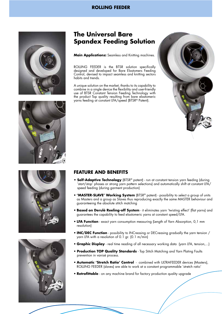#### **ROLLING FEEDER**

![](_page_4_Picture_1.jpeg)

## **The Universal Bare Spandex Feeding Solution**

**Main Applications:** Seamless and Knitting machines.

ROLLING FEEDER is the BTSR solution specifically designed and developed for Bare Elastomers Feeding Control, devised to impact seamless and knitting sectors habits and trends.

A unique solution on the market, thanks to its capability to combine in a single device the flexibility and user-friendly use of BTSR Constant Tension Feeding Technology with the product Top quality resulting from bare elastomeric yarns feeding at constant LFA/speed (BTSR® Patent).

![](_page_4_Picture_6.jpeg)

![](_page_4_Picture_7.jpeg)

![](_page_4_Picture_8.jpeg)

![](_page_4_Picture_9.jpeg)

### **FEATURE AND BENEFITS**

- **Self-Adaptive Technology** (BTSR® patent) run at constant tension yarn feeding (during 'start/stop' phases or strong yarn pattern selections) and automatically shift at constant LFA/ speed feeding (during garment production)
- **'MASTER-SLAVE' Working System** (BTSR® patent) possibility to select a group of units as Masters and a group as Slaves thus reproducing exactly the same MASTER behaviour and guaranteeing the absolute stitch matching
- **Based on Derulè Reeling-off System** it eliminates yarn 'twisting effect' (flat yarns) and guarantees the capability to feed elastomeric yarns at constant speed/LFA.
- **LFA Function** exact yarn consumption measuring (Length of Yarn Absorption, 0,1 mm resolution)
- **INC/DEC Function** possibility to INCreasing or DECreasing gradually the yarn tension / yarn LFA with a resolution of 0.1 gr. (0.1 m/min)
- **Graphic Display** real time reading of all necessary working data (yarn LFA, tension,...)
- **Production TOP Quality Standards** Top Stitch Matching and Yarn Plating Faults prevention in vanisè process.
- **Automatic 'Stretch Ratio' Control** combined with ULTRAFEEDER devices (Masters), ROLLING FEEDER (slaves) are able to work at a constant programmable 'stretch ratio'
- **Retrofittable** on any machine brand for factory production quality upgrade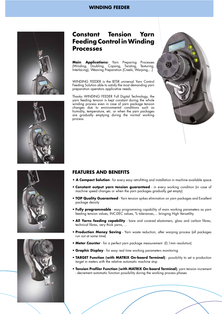#### **WINDING FEEDER**

![](_page_5_Picture_1.jpeg)

![](_page_5_Picture_2.jpeg)

**Main Applications:** Yarn Preparing Processes (Winding, Doubling, Copsing, Twisting, Texturing, Interlacing), Weaving Preparation (Creels, Warping,...)

WINDING FEEDER is the BTSR universal Yarn Control Feeding Solution able to satisfy the most demanding yarn preparation operators applicative needs.

Thanks WINDING FEEDER Full Digital Technology, the yarn feeding tension is kept constant during the whole winding process even in case of yarn package tension changes due to environmental conditions such as humidity, temperature, etc. or when the yarn packages are gradually emptying during the normal working process.

![](_page_5_Picture_6.jpeg)

![](_page_5_Picture_7.jpeg)

![](_page_5_Picture_8.jpeg)

![](_page_5_Picture_9.jpeg)

#### **FEATURES AND BENEFITS**

- **A Compact Solution** for every easy retrofitting and installation in machine available space
- **Constant output yarn tension guaranteed** in every working condition (in case of machine speed changes or when the yarn packages gradually get empty)
- **TOP Quality Guaranteed** Yarn tension spikes elimination on yarn packages and Excellent package density
- **Fully programmable** easy programming capability of main working parameters as yarn feeding tension values, INC-DEC values, % tolerances,... bringing High Versatility
- **All Yarns feeding capability** bare and covered elastomers, glass and carbon fibres, technical fibres, very thick yarns, ...
- **Production Money Saving** Yarn waste reduction, after warping process (all packages run out at same time)
- **Meter Counter** for a perfect yarn package measurement (0,1mm resolution)
- **Graphic Display** for easy real time working parameters monitoring
- **TARGET Function (with MATRIX On-board Terminal)** possibility to set a production target in meters with the relative automatic machine stop
- **Tension Profiler Function (with MATRIX On-board Terminal)**: yarn tension increment - decrement automatic function possibility during the working process phases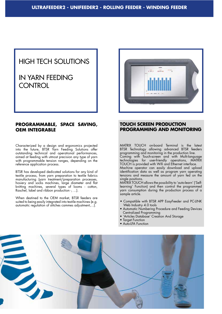# HIGH TECH SOLUTIONS

# IN YARN FEEDING **CONTROL**

#### **PROGRAMMABLE, SPACE SAVING, OEM INTEGRABLE**

Characterized by a design and ergonomics projected into the future, BTSR Yarn Feeding Solutions offer outstanding technical and operational performances, aimed at feeding with utmost precision any type of yarn with programmable tension ranges, depending on the reference application process.

BTSR has developed dedicated solutions for any kind of textile process, from yarn preparation to textile fabrics manufacturing (yarn treatment/preparation processes, hosiery and socks machines, large diameter and flat knitting machines, several types of looms - cotton, Raschel, label and ribbon production -, ...).

When destined to the OEM market, BTSR feeders are suited to being easily integrated into textile machines (e.g. automatic regulation of stitches cammes adjustment,...).

![](_page_6_Picture_7.jpeg)

#### **TOUCH SCREEN PRODUCTION PROGRAMMING AND MONITORING**

MATRIX TOUCH on-board Terminal is the latest BTSR Technology allowing advanced BTSR feeders programming and monitoring in the production line. Coming with Touch-screen and with Multi-language

technologies for user-friendly operations, MATRIX TOUCH is provided with Wifi and Ethernet interface.

Machine operator can easily download and upload identification data as well as program yarn operating tensions and measure the amount of yarn fed on the single positions.

MATRIX TOUCH allows the possibility to 'auto-learn' ('Selflearning' Function) and then control the programmed yarn consumption during the production process of a sample article.

- Compatible with BTSR APP EasyFeeder and PC-LINK Web Industry 4.0 tools
- Automatic Numbering Procedure and Feeding Devices Centralized Programming
- 'Articles Database' Creation And Storage
- Target Function
- Auto-LFA Function

![](_page_6_Picture_18.jpeg)